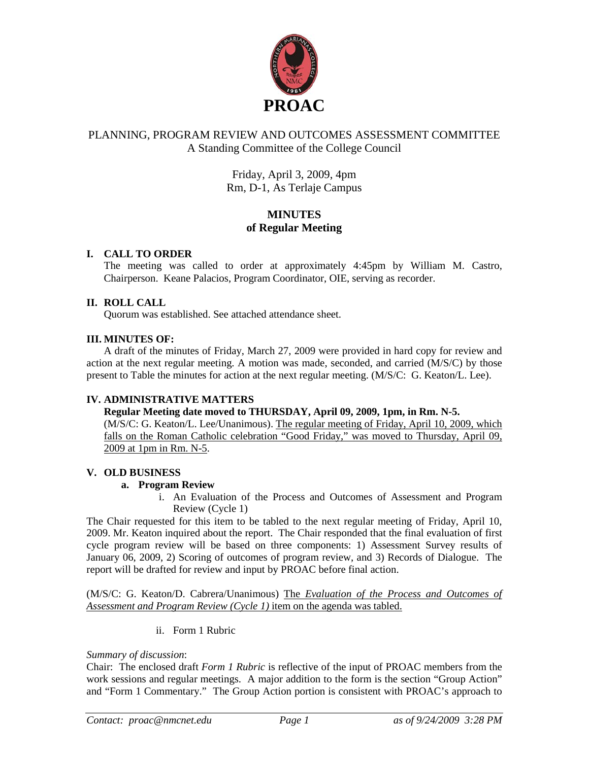

# PLANNING, PROGRAM REVIEW AND OUTCOMES ASSESSMENT COMMITTEE A Standing Committee of the College Council

# Friday, April 3, 2009, 4pm Rm, D-1, As Terlaje Campus

# **MINUTES of Regular Meeting**

### **I. CALL TO ORDER**

The meeting was called to order at approximately 4:45pm by William M. Castro, Chairperson. Keane Palacios, Program Coordinator, OIE, serving as recorder.

### **II. ROLL CALL**

Quorum was established. See attached attendance sheet.

### **III. MINUTES OF:**

A draft of the minutes of Friday, March 27, 2009 were provided in hard copy for review and action at the next regular meeting. A motion was made, seconded, and carried (M/S/C) by those present to Table the minutes for action at the next regular meeting. (M/S/C: G. Keaton/L. Lee).

#### **IV. ADMINISTRATIVE MATTERS**

### **Regular Meeting date moved to THURSDAY, April 09, 2009, 1pm, in Rm. N-5.**

(M/S/C: G. Keaton/L. Lee/Unanimous). The regular meeting of Friday, April 10, 2009, which falls on the Roman Catholic celebration "Good Friday," was moved to Thursday, April 09, 2009 at 1pm in Rm. N-5.

### **V. OLD BUSINESS**

#### **a. Program Review**

i. An Evaluation of the Process and Outcomes of Assessment and Program Review (Cycle 1)

The Chair requested for this item to be tabled to the next regular meeting of Friday, April 10, 2009. Mr. Keaton inquired about the report. The Chair responded that the final evaluation of first cycle program review will be based on three components: 1) Assessment Survey results of January 06, 2009, 2) Scoring of outcomes of program review, and 3) Records of Dialogue. The report will be drafted for review and input by PROAC before final action.

(M/S/C: G. Keaton/D. Cabrera/Unanimous) The *Evaluation of the Process and Outcomes of Assessment and Program Review (Cycle 1)* item on the agenda was tabled.

ii. Form 1 Rubric

#### *Summary of discussion*:

Chair: The enclosed draft *Form 1 Rubric* is reflective of the input of PROAC members from the work sessions and regular meetings. A major addition to the form is the section "Group Action" and "Form 1 Commentary." The Group Action portion is consistent with PROAC's approach to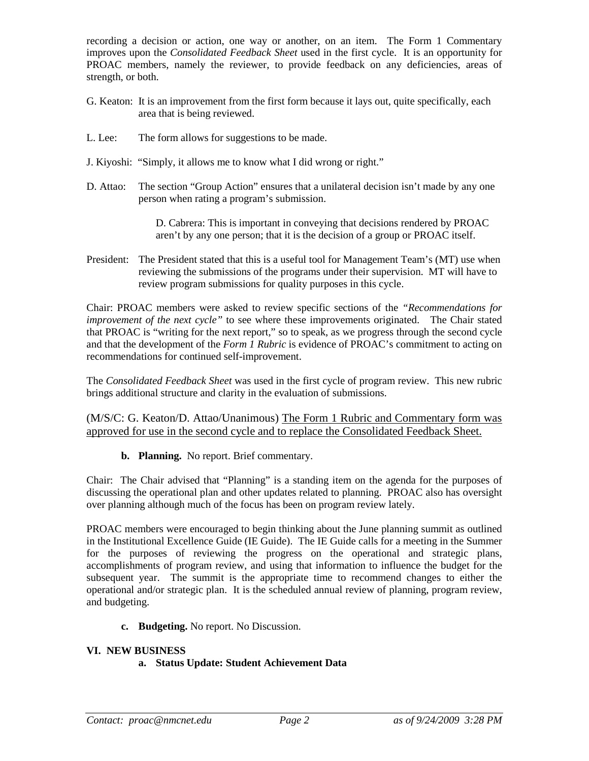recording a decision or action, one way or another, on an item. The Form 1 Commentary improves upon the *Consolidated Feedback Sheet* used in the first cycle. It is an opportunity for PROAC members, namely the reviewer, to provide feedback on any deficiencies, areas of strength, or both.

- G. Keaton: It is an improvement from the first form because it lays out, quite specifically, each area that is being reviewed.
- L. Lee: The form allows for suggestions to be made.
- J. Kiyoshi: "Simply, it allows me to know what I did wrong or right."
- D. Attao: The section "Group Action" ensures that a unilateral decision isn't made by any one person when rating a program's submission.

D. Cabrera: This is important in conveying that decisions rendered by PROAC aren't by any one person; that it is the decision of a group or PROAC itself.

President: The President stated that this is a useful tool for Management Team's (MT) use when reviewing the submissions of the programs under their supervision. MT will have to review program submissions for quality purposes in this cycle.

Chair: PROAC members were asked to review specific sections of the *"Recommendations for improvement of the next cycle"* to see where these improvements originated. The Chair stated that PROAC is "writing for the next report," so to speak, as we progress through the second cycle and that the development of the *Form 1 Rubric* is evidence of PROAC's commitment to acting on recommendations for continued self-improvement.

The *Consolidated Feedback Sheet* was used in the first cycle of program review. This new rubric brings additional structure and clarity in the evaluation of submissions.

(M/S/C: G. Keaton/D. Attao/Unanimous) The Form 1 Rubric and Commentary form was approved for use in the second cycle and to replace the Consolidated Feedback Sheet.

**b. Planning.** No report. Brief commentary.

Chair: The Chair advised that "Planning" is a standing item on the agenda for the purposes of discussing the operational plan and other updates related to planning. PROAC also has oversight over planning although much of the focus has been on program review lately.

PROAC members were encouraged to begin thinking about the June planning summit as outlined in the Institutional Excellence Guide (IE Guide). The IE Guide calls for a meeting in the Summer for the purposes of reviewing the progress on the operational and strategic plans, accomplishments of program review, and using that information to influence the budget for the subsequent year. The summit is the appropriate time to recommend changes to either the operational and/or strategic plan. It is the scheduled annual review of planning, program review, and budgeting.

**c. Budgeting.** No report. No Discussion.

### **VI. NEW BUSINESS**

**a. Status Update: Student Achievement Data**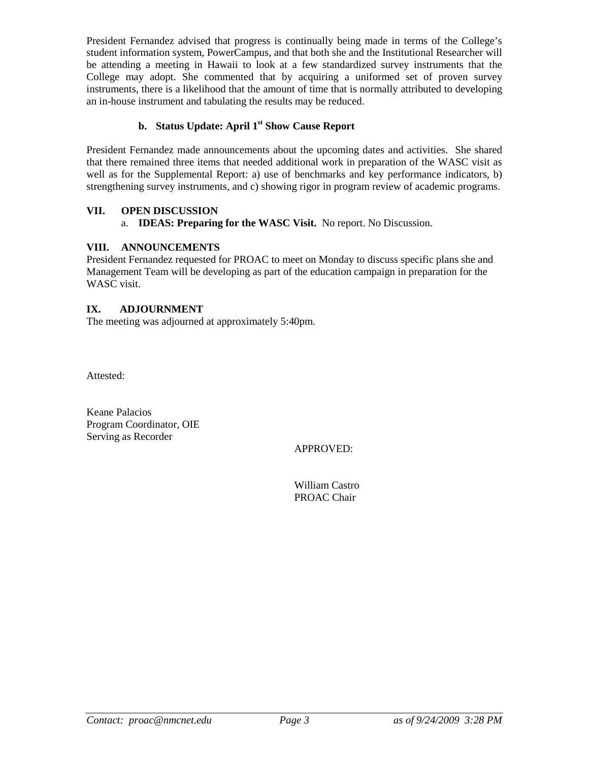President Fernandez advised that progress is continually being made in terms of the College's student information system, PowerCampus, and that both she and the Institutional Researcher will be attending a meeting in Hawaii to look at a few standardized survey instruments that the College may adopt. She commented that by acquiring a uniformed set of proven survey instruments, there is a likelihood that the amount of time that is normally attributed to developing an in-house instrument and tabulating the results may be reduced.

# **b.** Status Update: April 1<sup>st</sup> Show Cause Report

President Fernandez made announcements about the upcoming dates and activities. She shared that there remained three items that needed additional work in preparation of the WASC visit as well as for the Supplemental Report: a) use of benchmarks and key performance indicators, b) strengthening survey instruments, and c) showing rigor in program review of academic programs.

# **VII. OPEN DISCUSSION**

a. **IDEAS: Preparing for the WASC Visit.** No report. No Discussion.

# **VIII. ANNOUNCEMENTS**

President Fernandez requested for PROAC to meet on Monday to discuss specific plans she and Management Team will be developing as part of the education campaign in preparation for the WASC visit.

# **IX. ADJOURNMENT**

The meeting was adjourned at approximately 5:40pm.

Attested:

Keane Palacios Program Coordinator, OIE Serving as Recorder

APPROVED:

William Castro PROAC Chair